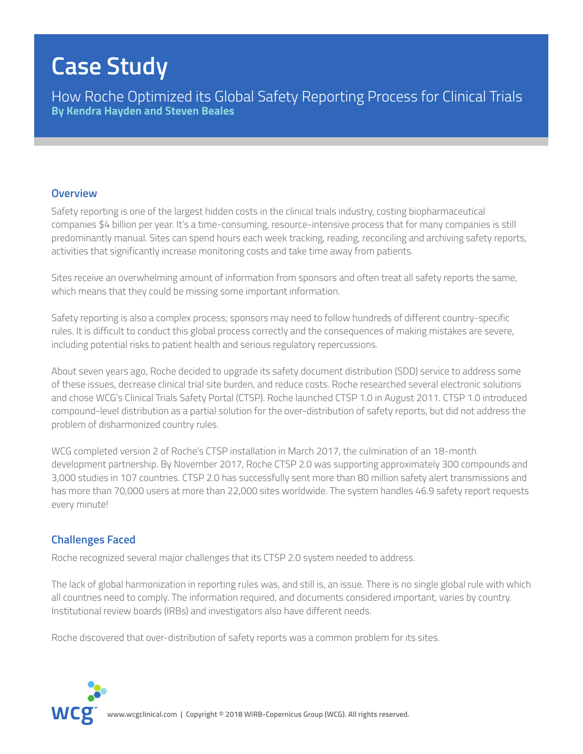# **Case Study**

How Roche Optimized its Global Safety Reporting Process for Clinical Trials **By Kendra Hayden and Steven Beales**

#### **Overview**

Safety reporting is one of the largest hidden costs in the clinical trials industry, costing biopharmaceutical companies \$4 billion per year. It's a time-consuming, resource-intensive process that for many companies is still predominantly manual. Sites can spend hours each week tracking, reading, reconciling and archiving safety reports, activities that significantly increase monitoring costs and take time away from patients.

Sites receive an overwhelming amount of information from sponsors and often treat all safety reports the same, which means that they could be missing some important information.

Safety reporting is also a complex process; sponsors may need to follow hundreds of different country-specific rules. It is difficult to conduct this global process correctly and the consequences of making mistakes are severe, including potential risks to patient health and serious regulatory repercussions.

About seven years ago, Roche decided to upgrade its safety document distribution (SDD) service to address some of these issues, decrease clinical trial site burden, and reduce costs. Roche researched several electronic solutions and chose WCG's Clinical Trials Safety Portal (CTSP). Roche launched CTSP 1.0 in August 2011. CTSP 1.0 introduced compound-level distribution as a partial solution for the over-distribution of safety reports, but did not address the problem of disharmonized country rules.

WCG completed version 2 of Roche's CTSP installation in March 2017, the culmination of an 18-month development partnership. By November 2017, Roche CTSP 2.0 was supporting approximately 300 compounds and 3,000 studies in 107 countries. CTSP 2.0 has successfully sent more than 80 million safety alert transmissions and has more than 70,000 users at more than 22,000 sites worldwide. The system handles 46.9 safety report requests every minute!

### **Challenges Faced**

Roche recognized several major challenges that its CTSP 2.0 system needed to address.

The lack of global harmonization in reporting rules was, and still is, an issue. There is no single global rule with which all countries need to comply. The information required, and documents considered important, varies by country. Institutional review boards (IRBs) and investigators also have different needs.

Roche discovered that over-distribution of safety reports was a common problem for its sites.

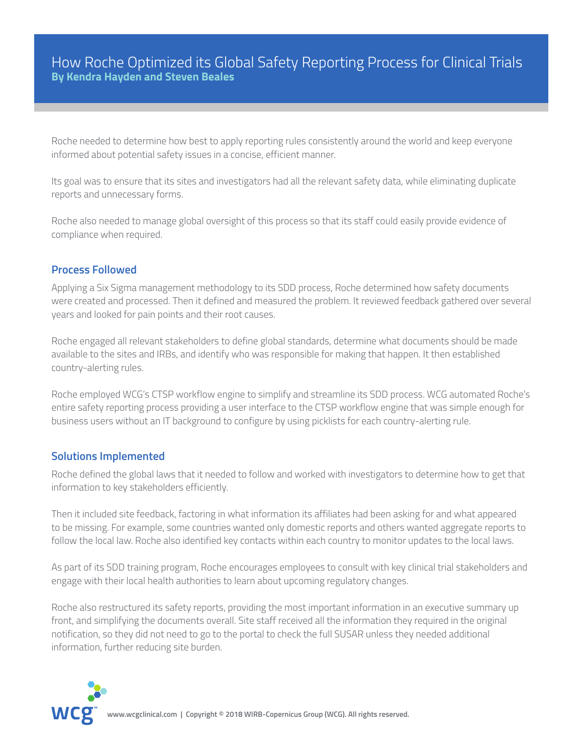## How Roche Optimized its Global Safety Reporting Process for Clinical Trials **By Kendra Hayden and Steven Beales**

Roche needed to determine how best to apply reporting rules consistently around the world and keep everyone informed about potential safety issues in a concise, efficient manner.

Its goal was to ensure that its sites and investigators had all the relevant safety data, while eliminating duplicate reports and unnecessary forms.

Roche also needed to manage global oversight of this process so that its staff could easily provide evidence of compliance when required.

#### **Process Followed**

Applying a Six Sigma management methodology to its SDD process, Roche determined how safety documents were created and processed. Then it defined and measured the problem. It reviewed feedback gathered over several years and looked for pain points and their root causes.

Roche engaged all relevant stakeholders to define global standards, determine what documents should be made available to the sites and IRBs, and identify who was responsible for making that happen. It then established country-alerting rules.

Roche employed WCG's CTSP workflow engine to simplify and streamline its SDD process. WCG automated Roche's entire safety reporting process providing a user interface to the CTSP workflow engine that was simple enough for business users without an IT background to configure by using picklists for each country-alerting rule.

#### **Solutions Implemented**

Roche defined the global laws that it needed to follow and worked with investigators to determine how to get that information to key stakeholders efficiently.

Then it included site feedback, factoring in what information its affiliates had been asking for and what appeared to be missing. For example, some countries wanted only domestic reports and others wanted aggregate reports to follow the local law. Roche also identified key contacts within each country to monitor updates to the local laws.

As part of its SDD training program, Roche encourages employees to consult with key clinical trial stakeholders and engage with their local health authorities to learn about upcoming regulatory changes.

Roche also restructured its safety reports, providing the most important information in an executive summary up front, and simplifying the documents overall. Site staff received all the information they required in the original notification, so they did not need to go to the portal to check the full SUSAR unless they needed additional information, further reducing site burden.